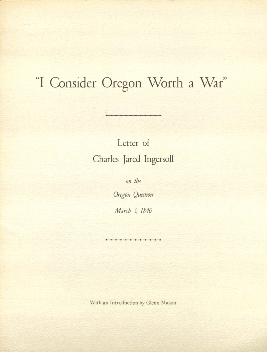## "I Consider Oregon Worth a War"

Letter of Charles Jared Ingersoll

on the

Oregon Question

March 3, 1846

\Vith an Introduction by Glenn Mason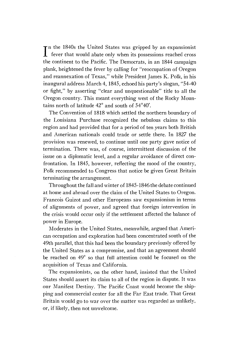**I** fever that would abate only when its possessions reached cross  $\tau$ n the 1840s the United States was gripped by an expansionist the continent to the Pacific. The Democrats, in an 1844 campaign plank, heightened the fever by calling for "reoccupation of Oregon and reannexation of Texas," while President James K. Polk, in his inaugural address March 4, 1845, echoed his party's slogan, "54 40 or fight," by asserting "clear and unquestionable" title to all the Oregon country. This meant everything west of the Rocky Mountains north of latitude 42° and south of 54°40'.

The Convention of 1818 which settled the northern boundary of the Louisiana Purchase recognized the nebulous claims to this region and had provided that for a period of ten years both British and American nationals could trade or settle there. In 1827 the provision was renewed, to continue until one party gave notice of termination. There was, of course, intermittent discussion of the issue on a diplomatic level, and a regular avoidance of direct confrontation. In 1845, however, reflecting the mood of the country, Polk recommended to Congress that notice be given Great Britain terminating the arrangement.

Throughout the fall and winter of 1845-1846 the debate continued at home and abroad over the claim of the United States to Oregon. Francois Guizot and other Europeans saw expansionism in terms of alignments of power, and agreed that foreign intervention in the crisis would occur only if the settlement affected the balance of power in Europe.

Moderates in the United States, meanwhile, argued that American occupation and exploration had been concentrated south of the 49th parallel, that this had been the boundary previously offered by the United States as a compromise, and that an agreement should be reached on 49° so that full attention could he focused on the acquisition of Texas and California.

The expansionists, on the other hand, insisted that the United States should assert its claim to all of the region in dispute. It was our Manifest Destiny. The Pacific Coast would become the shipping and commercial center for all the Far East trade. That Great Britain would go to war over the matter was regarded as unlikely, or, if likely, then not unwelcome.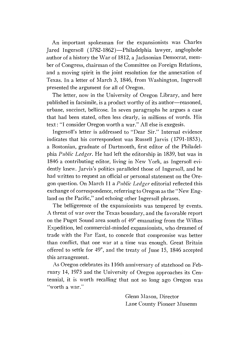An important spokesman for the expansionists was Charles Jared Ingersoll (1782-1862)—Philadelphia lawyer, anglophobe author of a history the \Var of 1812, a Jacksonian Democrat, member of Congress, chairman of the Committee on Foreign Relations, and a moving spirit in the joint resolution for the annexation of Texas. In a letter of March 3, 1846, from Washington, Ingersoll presented the argument for all of Oregon.

The letter, now in the University of Oregon Library, and here published in facsimile, is a product worthy of its author—reasoned, urbane, succinct, bellicose. In seven paragraphs he argues a case that had been stated, often less clearly, in millions of words. His text: "I consider Oregon worth a war." All else is exegesis.

Ingersoll's letter is addressed to "Dear Sir." Internal evidence indicates that his correspondent was Russell Jarvis (1791-1853), a Bostonian, graduate of Dartmouth, first editor of the Philadelphia Public Ledger. He had left the editorship in 1839, but was in 1846 a contributing editor, living in New York, as Ingersoll evidently knew. Jarvis's politics paralleled those of Ingersoll, and he had written to request an official or personal statement on the Oregon question. On March 11 a Public Ledger editorial reflected this exchange of correspondence, referring to Oregon as the "New England on the Pacific," and echoing other Ingersoll phrases.

The belligerence of the expansionists was tempered by events. A threat of war over the Texas boundary, and the favorable report on the Puget Sound area south of 49° emanating from the Wilkes Expedition, led commercial-minded expansionists, who dreamed of trade with the Far East, to concede that compromise was better than conflict, that one war at a time was enough. Great Britain offered to settle for 49°, and the treaty of June 15, 1846 accepted this arrangement.

As Oregon celebrates its 116th anniversary of statehood on Febmary 14, 1975 and the University of Oregon approaches its Centennial, it is worth recalling that not so long ago Oregon was "worth a war."

> Glenn Mason, Director Lane County Pioneer Museum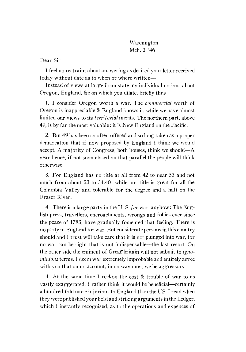Washington Mch. 3. '46

Dear Sir

I feel no restraint about answering as desired your letter received today without date as to when or where written

Instead of views at large I can state my individual notions about Oregon, England, &c on which you dilate, briefly thus

1. I consider Oregon worth a war. The *commercial* worth of Oregon is inappreciable & England knows it, while we have almost limited our views to its *territorial* merits. The northern part, above 49, is by far the most valuable: it is New England on the Pacific.

2. But 49 has been so often offered and so long taken as a proper demarcation that if now proposed by England I think we would accept. A majority of Congress, both houses, think we should— $A$ year hence, if not soon closed on that parallel the people will think otherwise

For England has no title at all from 42 to near 53 and not much from about 53 to 54.40; while our title is great for all the Columbia Valley and tolerable for the degree and a half on the Fraser River.

4. There is a large party in the U.S. for war, anyhow: The English press, travellers, encroachments, wrongs and follies ever since the peace of 1783, have gradually fomented that feeling. There is no party in England for war. But considerate persons in this country should and I trust will take care that it is not plunged into war, for no war can be right that is not indispensable—the last resort. On the other side the eminent of Great britain will not submit to ignominious terms. I deem war extremely improbable and entirely agree with you that on no account, in no way must we be aggressors

4. At the same time T reckon the cost & trouble of war to us vastly exaggerated. I rather think it would be beneficial—certainly a hundred fold more injurious to England than the US. I read when they were published your bold and striking arguments in the Ledger, which I instantly recognised, as to the operations and expences of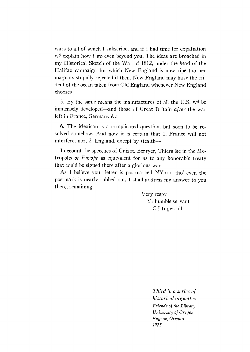wars to all of which I subscribe, and if I had time for expatiation w<sup>d</sup> explain how I go even beyond you. The ideas are broached in my Historical Sketch of the War of 1812, under the head of the Halifax campaign for which New England is now ripe tho her magnats stupidly rejected it then. New England may have the trident of the ocean taken from Old England whenever New England chooses

5. By the same means the manufactures of all the U.S.  $w^d$  be immensely developed—and those of Great Britain after the war left in France, Germany &c

The Mexican is a complicated question, but soon to be resolved somehow. And now it is certain that 1. France vill not interfere, nor, 2. England, except by stealth

I account the speeches of Guizot, Berryer, Thiers &c in the Metropolis of Europe as equivalent for us to any honorable treaty that could be signed there after a glorious war

As I believe your letter is postmarked NYork, tho' even the postmark is nearly rubbed out, I shall address my answer to you there, remaining

> Very respy Yr humble servant C J Ingersoll

> > Third in a series of historical vignettes Friends of the Library University of Oregon Eugene, Oregon 1975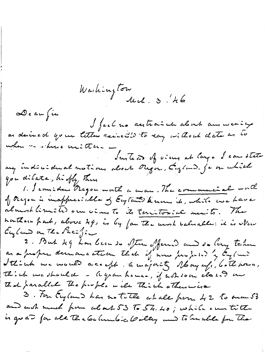Washington<br>Mal. 3/46 De au fin I feel no restraind about aux werity when no obvio unitten -<br>Instead of views at lays I can state<br>my indicident notions about Rega, England, je on which you dilate, hifty There 1. Jemide Regon worth a wan. The commercial worth of Mejon is inappreciable of England Know, it, while we have almost limited our views to its territorial menits. The nonthern park, above 29, is by fan the most balnable: it is Men England on The Pacific 2. But 49 har been de Sten offenid and do bery taken as a proper demancetion that if now properted by Onglow Sthink we would accept the majority obay uf, both house, Think we should - A gran hence, if whetom class an That parallel The prople will Think otherwise 3. For England has notitle whale from 42 to man 53 and wish much from about 53 To 54. 40; while our title is go at for all the behambic boilly and to inclue for the